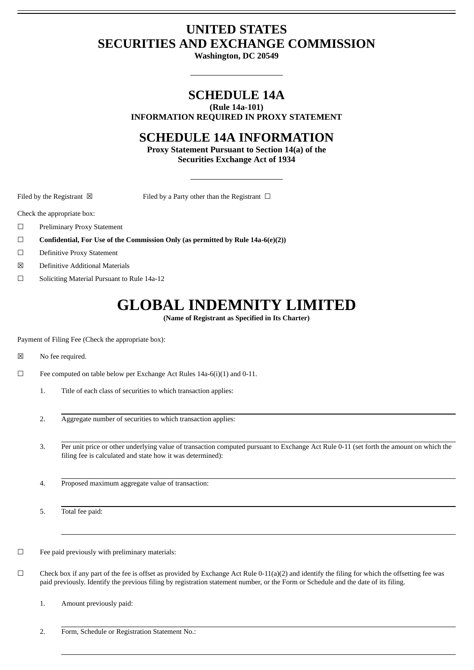# **UNITED STATES SECURITIES AND EXCHANGE COMMISSION**

**Washington, DC 20549**

# **SCHEDULE 14A**

**(Rule 14a-101)**

**INFORMATION REQUIRED IN PROXY STATEMENT**

# **SCHEDULE 14A INFORMATION**

**Proxy Statement Pursuant to Section 14(a) of the Securities Exchange Act of 1934**

Filed by the Registrant  $\boxtimes$  Filed by a Party other than the Registrant  $\Box$ 

Check the appropriate box:

- ☐ Preliminary Proxy Statement
- ☐ **Confidential, For Use of the Commission Only (as permitted by Rule 14a-6(e)(2))**
- ☐ Definitive Proxy Statement
- ☒ Definitive Additional Materials
- ☐ Soliciting Material Pursuant to Rule 14a-12

# **GLOBAL INDEMNITY LIMITED**

**(Name of Registrant as Specified in Its Charter)**

Payment of Filing Fee (Check the appropriate box):

☒ No fee required.

- ☐ Fee computed on table below per Exchange Act Rules 14a-6(i)(1) and 0-11.
	- 1. Title of each class of securities to which transaction applies:
	- 2. Aggregate number of securities to which transaction applies:
	- 3. Per unit price or other underlying value of transaction computed pursuant to Exchange Act Rule 0-11 (set forth the amount on which the filing fee is calculated and state how it was determined):
	- 4. Proposed maximum aggregate value of transaction:

5. Total fee paid:

 $\Box$  Fee paid previously with preliminary materials:

 $\Box$  Check box if any part of the fee is offset as provided by Exchange Act Rule 0-11(a)(2) and identify the filing for which the offsetting fee was paid previously. Identify the previous filing by registration statement number, or the Form or Schedule and the date of its filing.

1. Amount previously paid:

2. Form, Schedule or Registration Statement No.: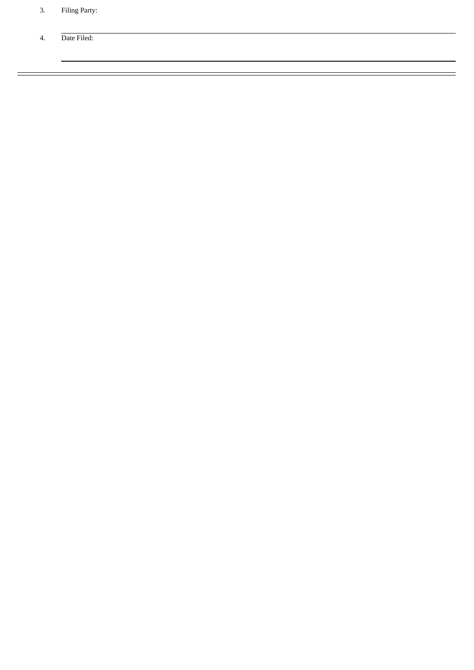- 3. Filing Party:
- 4. Date Filed: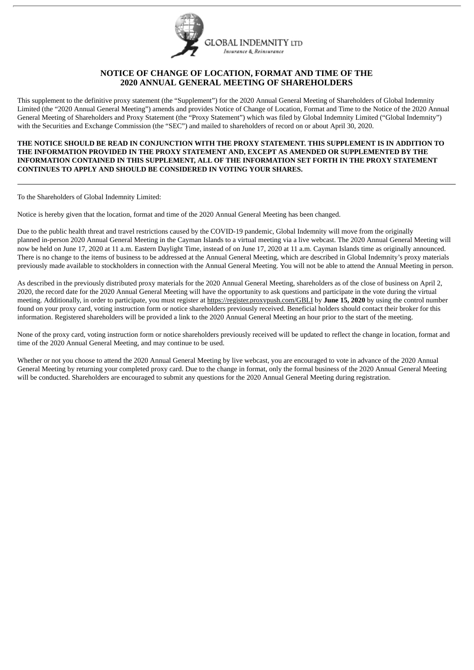

## **NOTICE OF CHANGE OF LOCATION, FORMAT AND TIME OF THE 2020 ANNUAL GENERAL MEETING OF SHAREHOLDERS**

This supplement to the definitive proxy statement (the "Supplement") for the 2020 Annual General Meeting of Shareholders of Global Indemnity Limited (the "2020 Annual General Meeting") amends and provides Notice of Change of Location, Format and Time to the Notice of the 2020 Annual General Meeting of Shareholders and Proxy Statement (the "Proxy Statement") which was filed by Global Indemnity Limited ("Global Indemnity") with the Securities and Exchange Commission (the "SEC") and mailed to shareholders of record on or about April 30, 2020.

## **THE NOTICE SHOULD BE READ IN CONJUNCTION WITH THE PROXY STATEMENT. THIS SUPPLEMENT IS IN ADDITION TO THE INFORMATION PROVIDED IN THE PROXY STATEMENT AND, EXCEPT AS AMENDED OR SUPPLEMENTED BY THE INFORMATION CONTAINED IN THIS SUPPLEMENT, ALL OF THE INFORMATION SET FORTH IN THE PROXY STATEMENT CONTINUES TO APPLY AND SHOULD BE CONSIDERED IN VOTING YOUR SHARES.**

To the Shareholders of Global Indemnity Limited:

Notice is hereby given that the location, format and time of the 2020 Annual General Meeting has been changed.

Due to the public health threat and travel restrictions caused by the COVID-19 pandemic, Global Indemnity will move from the originally planned in-person 2020 Annual General Meeting in the Cayman Islands to a virtual meeting via a live webcast. The 2020 Annual General Meeting will now be held on June 17, 2020 at 11 a.m. Eastern Daylight Time, instead of on June 17, 2020 at 11 a.m. Cayman Islands time as originally announced. There is no change to the items of business to be addressed at the Annual General Meeting, which are described in Global Indemnity's proxy materials previously made available to stockholders in connection with the Annual General Meeting. You will not be able to attend the Annual Meeting in person.

As described in the previously distributed proxy materials for the 2020 Annual General Meeting, shareholders as of the close of business on April 2, 2020, the record date for the 2020 Annual General Meeting will have the opportunity to ask questions and participate in the vote during the virtual meeting. Additionally, in order to participate, you must register at https://register.proxypush.com/GBLI by **June 15, 2020** by using the control number found on your proxy card, voting instruction form or notice shareholders previously received. Beneficial holders should contact their broker for this information. Registered shareholders will be provided a link to the 2020 Annual General Meeting an hour prior to the start of the meeting.

None of the proxy card, voting instruction form or notice shareholders previously received will be updated to reflect the change in location, format and time of the 2020 Annual General Meeting, and may continue to be used.

Whether or not you choose to attend the 2020 Annual General Meeting by live webcast, you are encouraged to vote in advance of the 2020 Annual General Meeting by returning your completed proxy card. Due to the change in format, only the formal business of the 2020 Annual General Meeting will be conducted. Shareholders are encouraged to submit any questions for the 2020 Annual General Meeting during registration.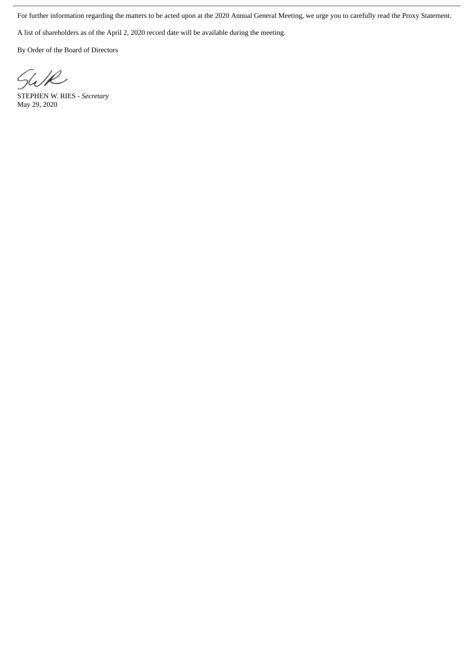For further information regarding the matters to be acted upon at the 2020 Annual General Meeting, we urge you to carefully read the Proxy Statement.

A list of shareholders as of the April 2, 2020 record date will be available during the meeting.

By Order of the Board of Directors

SWR

STEPHEN W. RIES *- Secretary* May 29, 2020